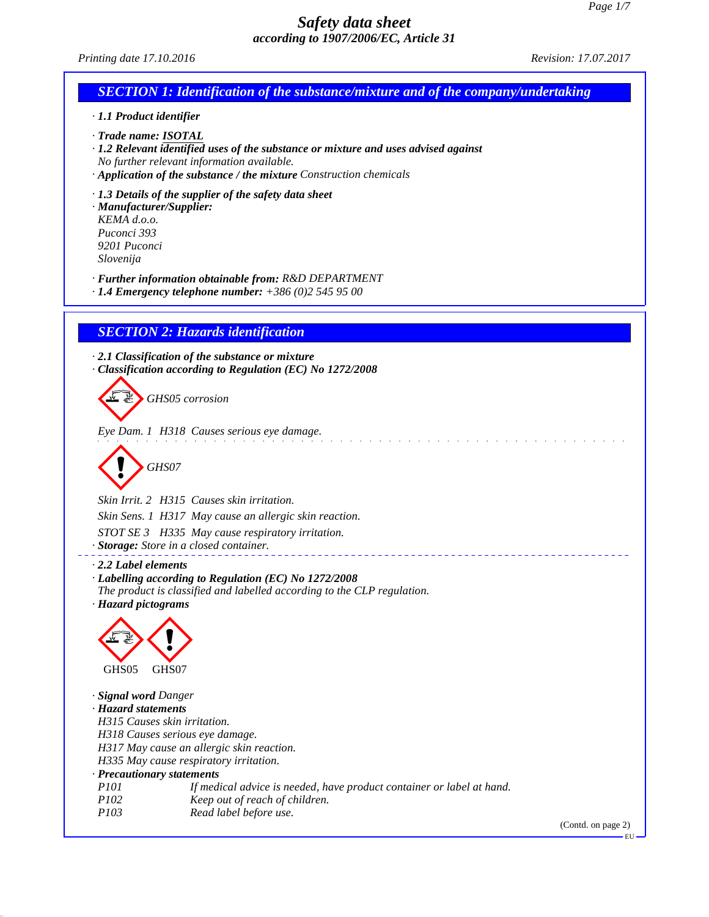| accoraing to 1907/2000/EC, Article 51                                                                                            |                      |
|----------------------------------------------------------------------------------------------------------------------------------|----------------------|
| Printing date 17.10.2016                                                                                                         | Revision: 17.07.2017 |
| <b>SECTION 1: Identification of the substance/mixture and of the company/undertaking</b>                                         |                      |
| · 1.1 Product identifier                                                                                                         |                      |
| · Trade name: ISOTAL                                                                                                             |                      |
| · 1.2 Relevant identified uses of the substance or mixture and uses advised against                                              |                      |
| No further relevant information available.<br>· Application of the substance / the mixture Construction chemicals                |                      |
|                                                                                                                                  |                      |
| $\cdot$ 1.3 Details of the supplier of the safety data sheet<br>· Manufacturer/Supplier:                                         |                      |
| KEMA d.o.o.                                                                                                                      |                      |
| Puconci 393<br>9201 Puconci                                                                                                      |                      |
| Slovenija                                                                                                                        |                      |
| · Further information obtainable from: R&D DEPARTMENT                                                                            |                      |
| $\cdot$ 1.4 Emergency telephone number: +386 (0)2 545 95 00                                                                      |                      |
| <b>SECTION 2: Hazards identification</b>                                                                                         |                      |
|                                                                                                                                  |                      |
| $\cdot$ 2.1 Classification of the substance or mixture<br>Classification according to Regulation (EC) No 1272/2008               |                      |
|                                                                                                                                  |                      |
| GHS05 corrosion                                                                                                                  |                      |
|                                                                                                                                  |                      |
| Eye Dam. 1 H318 Causes serious eye damage.                                                                                       |                      |
|                                                                                                                                  |                      |
| GHS07                                                                                                                            |                      |
| Skin Irrit. 2 H315 Causes skin irritation.                                                                                       |                      |
| Skin Sens. 1 H317 May cause an allergic skin reaction.                                                                           |                      |
| STOT SE 3 H335 May cause respiratory irritation.                                                                                 |                      |
| · Storage: Store in a closed container.                                                                                          |                      |
| $\cdot$ 2.2 Label elements                                                                                                       |                      |
| · Labelling according to Regulation (EC) No 1272/2008<br>The product is classified and labelled according to the CLP regulation. |                      |
| · Hazard pictograms                                                                                                              |                      |
|                                                                                                                                  |                      |
|                                                                                                                                  |                      |
|                                                                                                                                  |                      |
| GHS05<br>GHS07                                                                                                                   |                      |
| · Signal word Danger                                                                                                             |                      |
| · Hazard statements                                                                                                              |                      |
| H315 Causes skin irritation.<br>H318 Causes serious eye damage.                                                                  |                      |
| H317 May cause an allergic skin reaction.                                                                                        |                      |
| H335 May cause respiratory irritation.<br>· Precautionary statements                                                             |                      |
| P101<br>If medical advice is needed, have product container or label at hand.                                                    |                      |
| P102<br>Keep out of reach of children.                                                                                           |                      |
| P103<br>Read label before use.                                                                                                   | (Contd. on page 2)   |
|                                                                                                                                  | EU                   |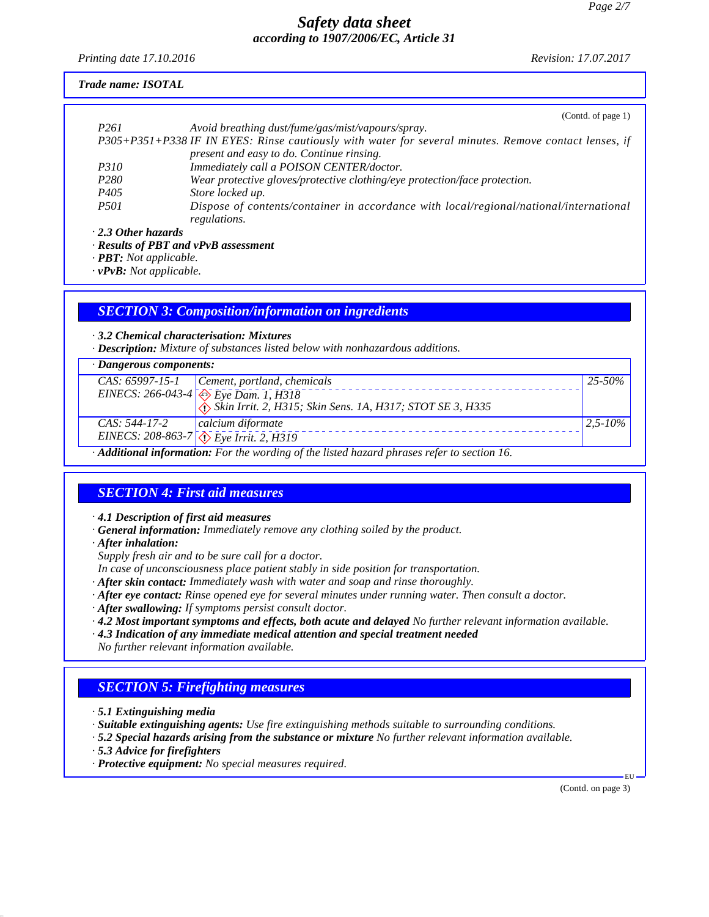*Printing date 17.10.2016 Revision: 17.07.2017*

### *Trade name: ISOTAL*

|                           | (Contd. of page $1$ )                                                                                                                                                                                                                                                                                                             |
|---------------------------|-----------------------------------------------------------------------------------------------------------------------------------------------------------------------------------------------------------------------------------------------------------------------------------------------------------------------------------|
| P <sub>261</sub>          | Avoid breathing dust/fume/gas/mist/vapours/spray.                                                                                                                                                                                                                                                                                 |
|                           | P305+P351+P338 IF IN EYES: Rinse cautiously with water for several minutes. Remove contact lenses, if                                                                                                                                                                                                                             |
|                           | present and easy to do. Continue rinsing.                                                                                                                                                                                                                                                                                         |
| <i>P310</i>               | Immediately call a POISON CENTER/doctor.                                                                                                                                                                                                                                                                                          |
| P <sub>280</sub>          | Wear protective gloves/protective clothing/eye protection/face protection.                                                                                                                                                                                                                                                        |
| P <sub>405</sub>          | Store locked up.                                                                                                                                                                                                                                                                                                                  |
| <i>P501</i>               | Dispose of contents/container in accordance with local/regional/national/international                                                                                                                                                                                                                                            |
|                           | regulations.                                                                                                                                                                                                                                                                                                                      |
| $\cdot$ 2.3 Other hazards |                                                                                                                                                                                                                                                                                                                                   |
|                           | $\mathbf{D}$ . $\mathbf{L}$ $\mathbf{L}$ $\mathbf{L}$ $\mathbf{D}$ $\mathbf{D}$ $\mathbf{D}$ $\mathbf{D}$ $\mathbf{D}$ $\mathbf{L}$ $\mathbf{L}$ $\mathbf{L}$ $\mathbf{L}$ $\mathbf{L}$ $\mathbf{L}$ $\mathbf{L}$ $\mathbf{L}$ $\mathbf{L}$ $\mathbf{L}$ $\mathbf{L}$ $\mathbf{L}$ $\mathbf{L}$ $\mathbf{L}$ $\mathbf{L}$ $\math$ |

*· Results of PBT and vPvB assessment*

*· PBT: Not applicable.*

*· vPvB: Not applicable.*

### *SECTION 3: Composition/information on ingredients*

*· 3.2 Chemical characterisation: Mixtures*

*· Description: Mixture of substances listed below with nonhazardous additions.*

| $\cdot$ Dangerous components: |                                                                                                   |              |
|-------------------------------|---------------------------------------------------------------------------------------------------|--------------|
|                               | CAS: 65997-15-1 Cement, portland, chemicals                                                       | $25 - 50\%$  |
|                               |                                                                                                   |              |
|                               | EINECS: 266-043-4 $Eye$ Dam. 1, H318<br>Skin Irrit. 2, H315; Skin Sens. 1A, H317; STOT SE 3, H335 |              |
| CAS: 544-17-2                 | calcium diformate                                                                                 | $2,5 - 10\%$ |
|                               | EINECS: 208-863-7 $\sqrt{\sqrt{E}}$ Eye Irrit. 2, H319                                            |              |
| .<br>.                        | .                                                                                                 |              |

*· Additional information: For the wording of the listed hazard phrases refer to section 16.*

# *SECTION 4: First aid measures*

*· 4.1 Description of first aid measures*

*· General information: Immediately remove any clothing soiled by the product.*

*· After inhalation:*

*Supply fresh air and to be sure call for a doctor.*

- *In case of unconsciousness place patient stably in side position for transportation.*
- *· After skin contact: Immediately wash with water and soap and rinse thoroughly.*
- *· After eye contact: Rinse opened eye for several minutes under running water. Then consult a doctor.*
- *· After swallowing: If symptoms persist consult doctor.*

*· 4.2 Most important symptoms and effects, both acute and delayed No further relevant information available.*

- *· 4.3 Indication of any immediate medical attention and special treatment needed*
- *No further relevant information available.*

# *SECTION 5: Firefighting measures*

- *· 5.1 Extinguishing media*
- *· Suitable extinguishing agents: Use fire extinguishing methods suitable to surrounding conditions.*
- *· 5.2 Special hazards arising from the substance or mixture No further relevant information available.*
- *· 5.3 Advice for firefighters*
- *· Protective equipment: No special measures required.*

(Contd. on page 3)

EU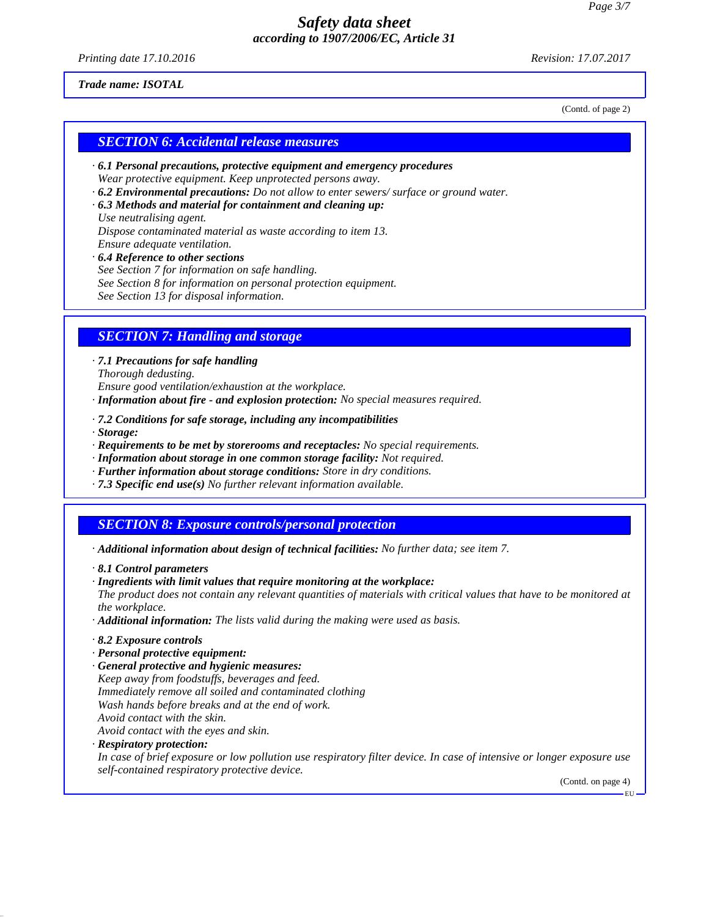*Printing date 17.10.2016 Revision: 17.07.2017*

(Contd. of page 2)

#### *Trade name: ISOTAL*

*SECTION 6: Accidental release measures*

- *· 6.1 Personal precautions, protective equipment and emergency procedures Wear protective equipment. Keep unprotected persons away.*
- *· 6.2 Environmental precautions: Do not allow to enter sewers/ surface or ground water.*
- *· 6.3 Methods and material for containment and cleaning up:*

*Use neutralising agent. Dispose contaminated material as waste according to item 13. Ensure adequate ventilation.*

- *· 6.4 Reference to other sections*
- *See Section 7 for information on safe handling.*
- *See Section 8 for information on personal protection equipment.*

*See Section 13 for disposal information.*

### *SECTION 7: Handling and storage*

*· 7.1 Precautions for safe handling Thorough dedusting.*

*Ensure good ventilation/exhaustion at the workplace.*

- *· Information about fire and explosion protection: No special measures required.*
- *· 7.2 Conditions for safe storage, including any incompatibilities*
- *· Storage:*
- *· Requirements to be met by storerooms and receptacles: No special requirements.*
- *· Information about storage in one common storage facility: Not required.*
- *· Further information about storage conditions: Store in dry conditions.*
- *· 7.3 Specific end use(s) No further relevant information available.*

### *SECTION 8: Exposure controls/personal protection*

- *· Additional information about design of technical facilities: No further data; see item 7.*
- *· 8.1 Control parameters*
- *· Ingredients with limit values that require monitoring at the workplace:*

*The product does not contain any relevant quantities of materials with critical values that have to be monitored at the workplace.*

*· Additional information: The lists valid during the making were used as basis.*

#### *· 8.2 Exposure controls*

- *· Personal protective equipment:*
- *· General protective and hygienic measures:*
- *Keep away from foodstuffs, beverages and feed.*
- *Immediately remove all soiled and contaminated clothing*
- *Wash hands before breaks and at the end of work.*
- *Avoid contact with the skin.*
- *Avoid contact with the eyes and skin.*

### *· Respiratory protection:*

*In case of brief exposure or low pollution use respiratory filter device. In case of intensive or longer exposure use self-contained respiratory protective device.*

> (Contd. on page 4) EU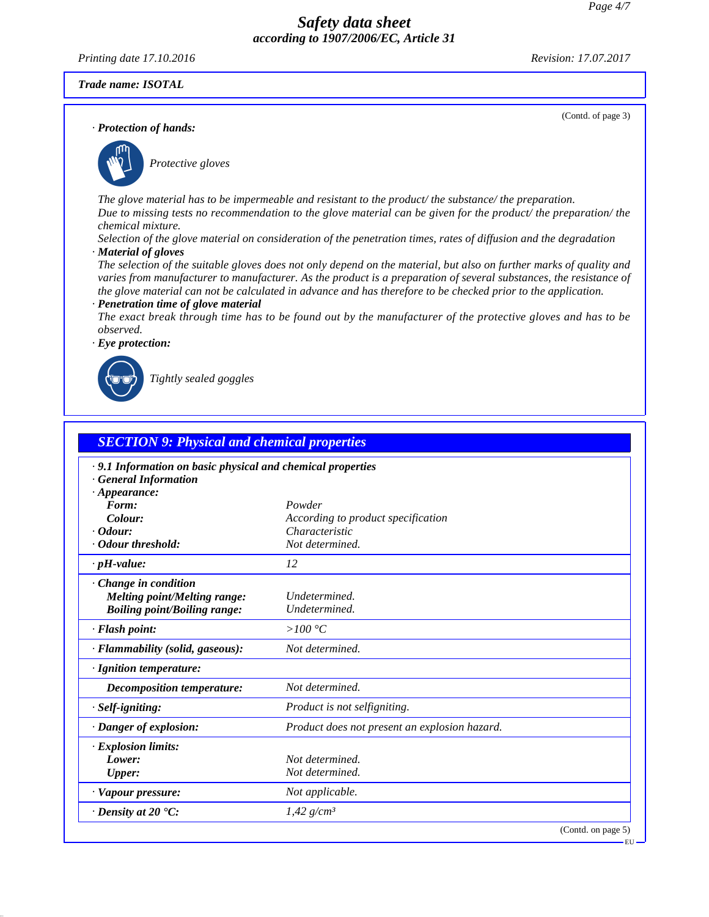*Printing date 17.10.2016 Revision: 17.07.2017*

(Contd. of page 3)

#### *Trade name: ISOTAL*

*· Protection of hands:*



\_S*Protective gloves*

*The glove material has to be impermeable and resistant to the product/ the substance/ the preparation. Due to missing tests no recommendation to the glove material can be given for the product/ the preparation/ the chemical mixture.*

*Selection of the glove material on consideration of the penetration times, rates of diffusion and the degradation · Material of gloves*

*The selection of the suitable gloves does not only depend on the material, but also on further marks of quality and varies from manufacturer to manufacturer. As the product is a preparation of several substances, the resistance of the glove material can not be calculated in advance and has therefore to be checked prior to the application.*

#### *· Penetration time of glove material*

*The exact break through time has to be found out by the manufacturer of the protective gloves and has to be observed.*



\_R*Tightly sealed goggles*

| <b>SECTION 9: Physical and chemical properties</b>                                                              |                                               |  |
|-----------------------------------------------------------------------------------------------------------------|-----------------------------------------------|--|
| .9.1 Information on basic physical and chemical properties<br><b>General Information</b><br>$\cdot$ Appearance: |                                               |  |
| Form:                                                                                                           | Powder                                        |  |
| Colour:                                                                                                         | According to product specification            |  |
| $\cdot$ Odour:                                                                                                  | Characteristic                                |  |
| Odour threshold:                                                                                                | Not determined.                               |  |
| $\cdot$ pH-value:                                                                                               | 12                                            |  |
| $\cdot$ Change in condition<br><b>Melting point/Melting range:</b><br><b>Boiling point/Boiling range:</b>       | Undetermined.<br>Undetermined.                |  |
| · Flash point:                                                                                                  | > $100 °C$                                    |  |
| · Flammability (solid, gaseous):                                                                                | Not determined.                               |  |
| · Ignition temperature:                                                                                         |                                               |  |
| Decomposition temperature:                                                                                      | Not determined.                               |  |
| $·$ <i>Self-igniting:</i>                                                                                       | Product is not selfigniting.                  |  |
| · Danger of explosion:                                                                                          | Product does not present an explosion hazard. |  |
| · Explosion limits:                                                                                             |                                               |  |
| Lower:                                                                                                          | Not determined.                               |  |
| <b>Upper:</b>                                                                                                   | Not determined.                               |  |
| · Vapour pressure:                                                                                              | Not applicable.                               |  |
| $\cdot$ Density at 20 $\cdot$ C:                                                                                | $1,42$ g/cm <sup>3</sup>                      |  |
|                                                                                                                 | (Contd. on page 5)                            |  |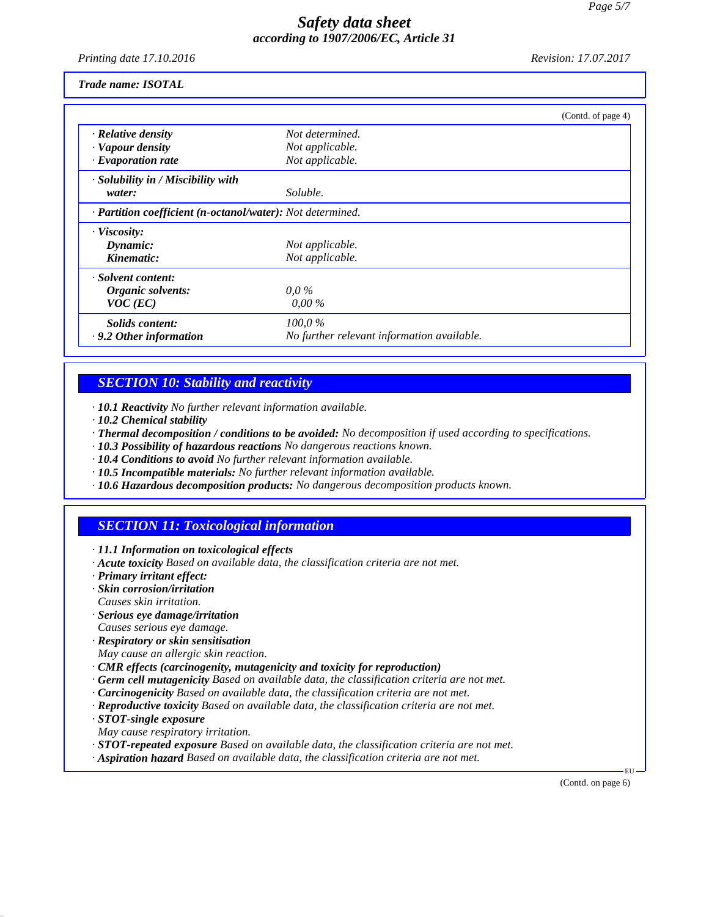*Printing date 17.10.2016 Revision: 17.07.2017*

#### *Trade name: ISOTAL*

|                                                            |                                            | (Contd. of page 4) |
|------------------------------------------------------------|--------------------------------------------|--------------------|
| · Relative density                                         | Not determined.                            |                    |
| · Vapour density                                           | Not applicable.                            |                    |
| $\cdot$ Evaporation rate                                   | Not applicable.                            |                    |
| · Solubility in / Miscibility with                         |                                            |                    |
| water:                                                     | Soluble.                                   |                    |
| · Partition coefficient (n-octanol/water): Not determined. |                                            |                    |
| $\cdot$ Viscosity:                                         |                                            |                    |
| Dynamic:                                                   | Not applicable.                            |                    |
| Kinematic:                                                 | Not applicable.                            |                    |
| · Solvent content:                                         |                                            |                    |
| Organic solvents:                                          | $0.0\%$                                    |                    |
| $VOC$ (EC)                                                 | $0.00\%$                                   |                    |
| Solids content:                                            | 100,0%                                     |                    |
| $\cdot$ 9.2 Other information                              | No further relevant information available. |                    |

## *SECTION 10: Stability and reactivity*

*· 10.1 Reactivity No further relevant information available.*

- *· 10.2 Chemical stability*
- *· Thermal decomposition / conditions to be avoided: No decomposition if used according to specifications.*
- *· 10.3 Possibility of hazardous reactions No dangerous reactions known.*
- *· 10.4 Conditions to avoid No further relevant information available.*
- *· 10.5 Incompatible materials: No further relevant information available.*
- *· 10.6 Hazardous decomposition products: No dangerous decomposition products known.*

# *SECTION 11: Toxicological information*

- *· 11.1 Information on toxicological effects*
- *· Acute toxicity Based on available data, the classification criteria are not met.*
- *· Primary irritant effect:*
- *· Skin corrosion/irritation Causes skin irritation.*
- *· Serious eye damage/irritation*
- *Causes serious eye damage.*
- *· Respiratory or skin sensitisation*
- *May cause an allergic skin reaction.*
- *· CMR effects (carcinogenity, mutagenicity and toxicity for reproduction)*
- *· Germ cell mutagenicity Based on available data, the classification criteria are not met.*
- *· Carcinogenicity Based on available data, the classification criteria are not met.*
- *· Reproductive toxicity Based on available data, the classification criteria are not met.*
- *· STOT-single exposure*
- *May cause respiratory irritation.*
- *· STOT-repeated exposure Based on available data, the classification criteria are not met.*
- *· Aspiration hazard Based on available data, the classification criteria are not met.*

(Contd. on page 6)

EU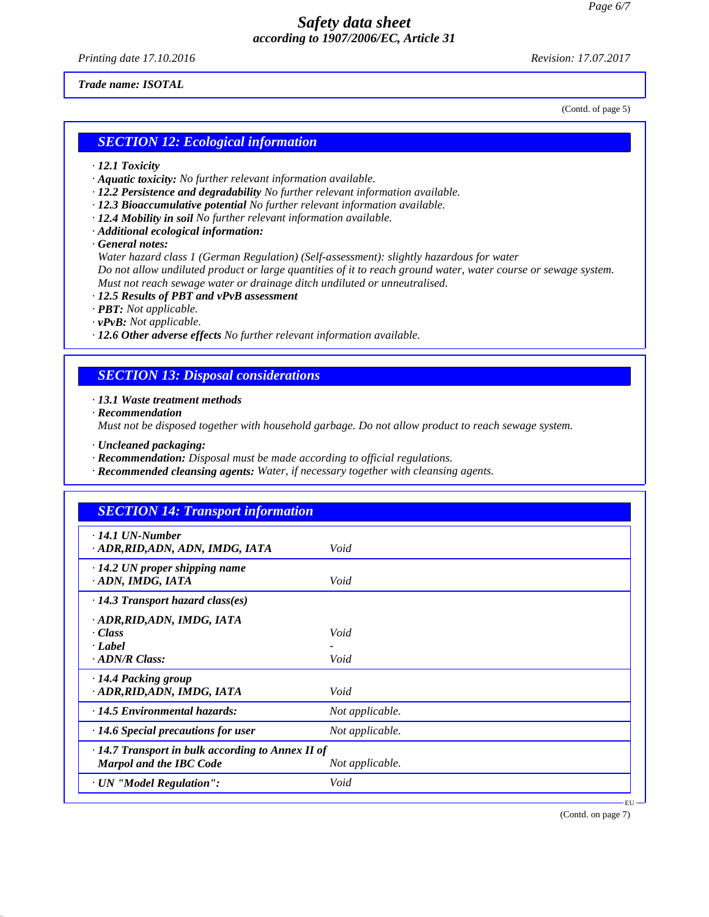*Printing date 17.10.2016 Revision: 17.07.2017*

#### *Trade name: ISOTAL*

(Contd. of page 5)

### *SECTION 12: Ecological information*

- *· 12.1 Toxicity*
- *· Aquatic toxicity: No further relevant information available.*
- *· 12.2 Persistence and degradability No further relevant information available.*
- *· 12.3 Bioaccumulative potential No further relevant information available.*
- *· 12.4 Mobility in soil No further relevant information available.*
- *· Additional ecological information:*
- *· General notes:*

*Water hazard class 1 (German Regulation) (Self-assessment): slightly hazardous for water Do not allow undiluted product or large quantities of it to reach ground water, water course or sewage system. Must not reach sewage water or drainage ditch undiluted or unneutralised.*

- *· 12.5 Results of PBT and vPvB assessment*
- *· PBT: Not applicable.*
- *· vPvB: Not applicable.*

*· 12.6 Other adverse effects No further relevant information available.*

## *SECTION 13: Disposal considerations*

*· 13.1 Waste treatment methods*

*· Recommendation*

*Must not be disposed together with household garbage. Do not allow product to reach sewage system.*

- *· Uncleaned packaging:*
- *· Recommendation: Disposal must be made according to official regulations.*
- *· Recommended cleansing agents: Water, if necessary together with cleansing agents.*

| <b>SECTION 14: Transport information</b>                                            |                 |  |
|-------------------------------------------------------------------------------------|-----------------|--|
| $\cdot$ 14.1 UN-Number<br>· ADR, RID, ADN, ADN, IMDG, IATA                          | Void            |  |
| $\cdot$ 14.2 UN proper shipping name<br>ADN, IMDG, IATA                             | Void            |  |
| $\cdot$ 14.3 Transport hazard class(es)                                             |                 |  |
| · ADR, RID, ADN, IMDG, IATA<br>· Class<br>· Label<br>$\cdot$ ADN/R Class:           | Void<br>Void    |  |
| 14.4 Packing group<br>· ADR, RID, ADN, IMDG, IATA                                   | Void            |  |
| $\cdot$ 14.5 Environmental hazards:                                                 | Not applicable. |  |
| $\cdot$ 14.6 Special precautions for user                                           | Not applicable. |  |
| · 14.7 Transport in bulk according to Annex II of<br><b>Marpol and the IBC Code</b> | Not applicable. |  |
| · UN "Model Regulation":                                                            | Void            |  |

(Contd. on page 7)